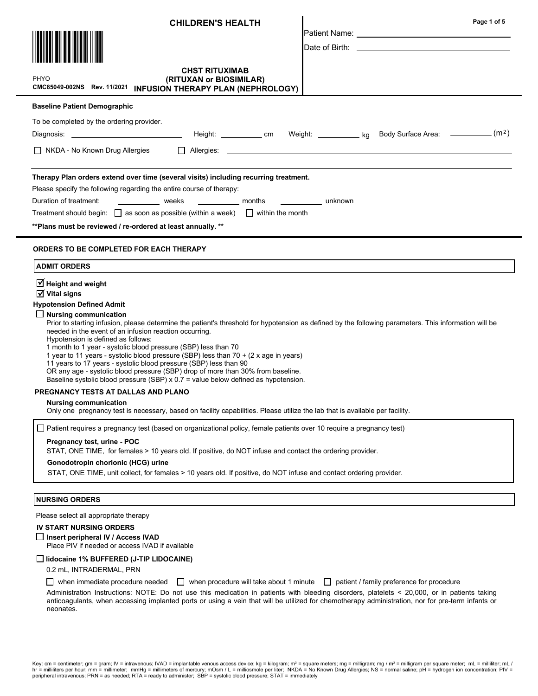| <b>CHILDREN'S HEALTH</b>                                                                                                                                                              | Page 1 of 5                                                                                                                                                                                                                    |  |
|---------------------------------------------------------------------------------------------------------------------------------------------------------------------------------------|--------------------------------------------------------------------------------------------------------------------------------------------------------------------------------------------------------------------------------|--|
|                                                                                                                                                                                       |                                                                                                                                                                                                                                |  |
|                                                                                                                                                                                       | Date of Birth: the contract of the contract of the contract of the contract of the contract of the contract of the contract of the contract of the contract of the contract of the contract of the contract of the contract of |  |
|                                                                                                                                                                                       |                                                                                                                                                                                                                                |  |
| <b>CHST RITUXIMAB</b><br>PHYO<br>(RITUXAN or BIOSIMILAR)                                                                                                                              |                                                                                                                                                                                                                                |  |
| CMC85049-002NS Rev. 11/2021 INFUSION THERAPY PLAN (NEPHROLOGY)                                                                                                                        |                                                                                                                                                                                                                                |  |
| <b>Baseline Patient Demographic</b>                                                                                                                                                   |                                                                                                                                                                                                                                |  |
| To be completed by the ordering provider.                                                                                                                                             |                                                                                                                                                                                                                                |  |
|                                                                                                                                                                                       |                                                                                                                                                                                                                                |  |
| $\Box$ NKDA - No Known Drug Allergies                                                                                                                                                 |                                                                                                                                                                                                                                |  |
|                                                                                                                                                                                       |                                                                                                                                                                                                                                |  |
| Therapy Plan orders extend over time (several visits) including recurring treatment.                                                                                                  |                                                                                                                                                                                                                                |  |
| Please specify the following regarding the entire course of therapy:<br>Duration of treatment:<br>weeks __________ weeks ____________ months                                          | unknown                                                                                                                                                                                                                        |  |
| Treatment should begin: $\Box$ as soon as possible (within a week) $\Box$ within the month                                                                                            |                                                                                                                                                                                                                                |  |
| ** Plans must be reviewed / re-ordered at least annually. **                                                                                                                          |                                                                                                                                                                                                                                |  |
| <b>ORDERS TO BE COMPLETED FOR EACH THERAPY</b>                                                                                                                                        |                                                                                                                                                                                                                                |  |
| <b>ADMIT ORDERS</b>                                                                                                                                                                   |                                                                                                                                                                                                                                |  |
|                                                                                                                                                                                       |                                                                                                                                                                                                                                |  |
| $\overline{\mathcal{A}}$ Height and weight<br>$\overline{M}$ Vital signs                                                                                                              |                                                                                                                                                                                                                                |  |
| <b>Hypotension Defined Admit</b>                                                                                                                                                      |                                                                                                                                                                                                                                |  |
| <b>Nursing communication</b><br>Prior to starting infusion, please determine the patient's threshold for hypotension as defined by the following parameters. This information will be |                                                                                                                                                                                                                                |  |
| needed in the event of an infusion reaction occurring.                                                                                                                                |                                                                                                                                                                                                                                |  |
| Hypotension is defined as follows:<br>1 month to 1 year - systolic blood pressure (SBP) less than 70                                                                                  |                                                                                                                                                                                                                                |  |
| 1 year to 11 years - systolic blood pressure (SBP) less than 70 + (2 x age in years)<br>11 years to 17 years - systolic blood pressure (SBP) less than 90                             |                                                                                                                                                                                                                                |  |
| OR any age - systolic blood pressure (SBP) drop of more than 30% from baseline.<br>Baseline systolic blood pressure (SBP) $x$ 0.7 = value below defined as hypotension.               |                                                                                                                                                                                                                                |  |
| PREGNANCY TESTS AT DALLAS AND PLANO                                                                                                                                                   |                                                                                                                                                                                                                                |  |
| <b>Nursing communication</b>                                                                                                                                                          |                                                                                                                                                                                                                                |  |
| Only one pregnancy test is necessary, based on facility capabilities. Please utilize the lab that is available per facility.                                                          |                                                                                                                                                                                                                                |  |
| $\Box$ Patient requires a pregnancy test (based on organizational policy, female patients over 10 require a pregnancy test)                                                           |                                                                                                                                                                                                                                |  |
| Pregnancy test, urine - POC<br>STAT, ONE TIME, for females > 10 years old. If positive, do NOT infuse and contact the ordering provider.                                              |                                                                                                                                                                                                                                |  |
| Gonodotropin chorionic (HCG) urine                                                                                                                                                    |                                                                                                                                                                                                                                |  |
| STAT, ONE TIME, unit collect, for females > 10 years old. If positive, do NOT infuse and contact ordering provider.                                                                   |                                                                                                                                                                                                                                |  |
| <b>NURSING ORDERS</b>                                                                                                                                                                 |                                                                                                                                                                                                                                |  |
| Please select all appropriate therapy                                                                                                                                                 |                                                                                                                                                                                                                                |  |
| <b>IV START NURSING ORDERS</b>                                                                                                                                                        |                                                                                                                                                                                                                                |  |
| □ Insert peripheral IV / Access IVAD<br>Place PIV if needed or access IVAD if available                                                                                               |                                                                                                                                                                                                                                |  |
| lidocaine 1% BUFFERED (J-TIP LIDOCAINE)                                                                                                                                               |                                                                                                                                                                                                                                |  |
| 0.2 mL, INTRADERMAL, PRN                                                                                                                                                              |                                                                                                                                                                                                                                |  |
| when immediate procedure needed<br>when procedure will take about 1 minute $\Box$<br>$\perp$                                                                                          | patient / family preference for procedure                                                                                                                                                                                      |  |

Administration Instructions: NOTE: Do not use this medication in patients with bleeding disorders, platelets < 20,000, or in patients taking anticoagulants, when accessing implanted ports or using a vein that will be utilized for chemotherapy administration, nor for pre-term infants or neonates.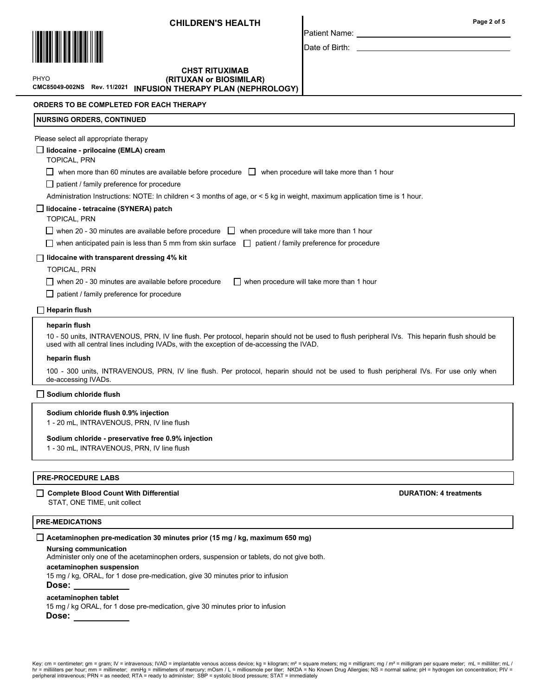

Page 2 of 5

Patient Name: Date of Birth:

\*PHYO PHYO \*

# CMC85049-002NS Rev. 11/2021 INFUSION THERAPY PLAN (NEPHROLOGY) CHST RITUXIMAB (RITUXAN or BIOSIMILAR)

ORDERS TO BE COMPLETED FOR EACH THERAPY

# NURSING ORDERS, CONTINUED Please select all appropriate therapy lidocaine - prilocaine (EMLA) cream TOPICAL, PRN  $\Box$  when more than 60 minutes are available before procedure  $\Box$  when procedure will take more than 1 hour □ patient / family preference for procedure Administration Instructions: NOTE: In children < 3 months of age, or < 5 kg in weight, maximum application time is 1 hour. lidocaine - tetracaine (SYNERA) patch TOPICAL, PRN  $\Box$  when 20 - 30 minutes are available before procedure  $\Box$  when procedure will take more than 1 hour when anticipated pain is less than 5 mm from skin surface  $\Box$  patient / family preference for procedure  $\Box$  lidocaine with transparent dressing 4% kit TOPICAL, PRN when 20 - 30 minutes are available before procedure  $\Box$  when procedure will take more than 1 hour  $\Box$  patient / family preference for procedure heparin flush heparin flush 10 - 50 units, INTRAVENOUS, PRN, IV line flush. Per protocol, heparin should not be used to flush peripheral IVs. This heparin flush should be used with all central lines including IVADs, with the exception of de-accessing the IVAD. 100 - 300 units, INTRAVENOUS, PRN, IV line flush. Per protocol, heparin should not be used to flush peripheral IVs. For use only when de-accessing IVADs.  $\Box$  Heparin flush Sodium chloride flush 0.9% injection 1 - 20 mL, INTRAVENOUS, PRN, IV line flush  $\Box$  Sodium chloride flush

# Sodium chloride - preservative free 0.9% injection

1 - 30 mL, INTRAVENOUS, PRN, IV line flush

# PRE-PROCEDURE LABS

# □ Complete Blood Count With Differential Complete Blood Count With Differential DURATION: 4 treatments

STAT, ONE TIME, unit collect

# PRE-MEDICATIONS

# $\Box$  Acetaminophen pre-medication 30 minutes prior (15 mg / kg, maximum 650 mg)

Nursing communication

Administer only one of the acetaminophen orders, suspension or tablets, do not give both.

#### acetaminophen suspension

15 mg / kg, ORAL, for 1 dose pre-medication, give 30 minutes prior to infusion

Dose:

# acetaminophen tablet

15 mg / kg ORAL, for 1 dose pre-medication, give 30 minutes prior to infusion Dose:

Key: cm = centimeter; gm = gram; IV = intravenous; IVAD = implantable venous access device; kg = kilogram; m<sup>2</sup> = square meters; mg = milligram; mg / m<sup>2</sup> = milligram per square meter; mL = milligram per square meter; mL = hr = milliliters per hour; mm = millimeter; mmHg = millimeters of mercury; mOsm / L = milliosmole per liter; NKDA = No Known Drug Allergies; NS = normal saline; pH = hydrogen ion concentration; PIV =<br>peripheral intraveno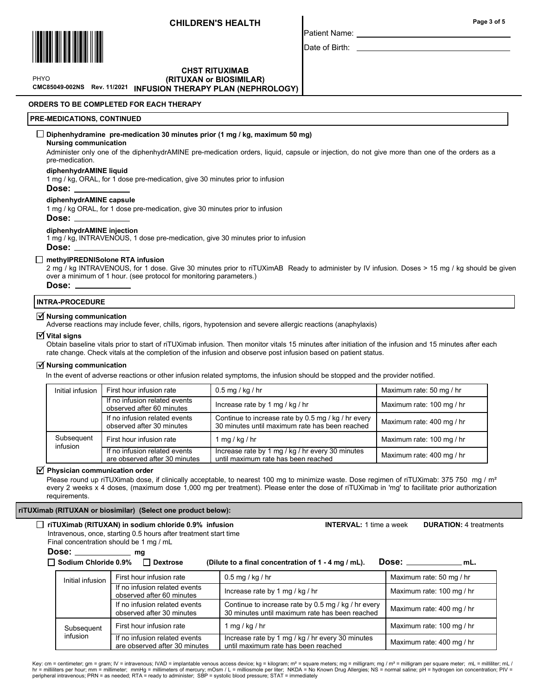CHST RITUXIMAB



Patient Name:

Date of Birth:

\*PHYO PHYO \*

# CMC85049-002NS Rev. 11/2021 INFUSION THERAPY PLAN (NEPHROLOGY)(RITUXAN or BIOSIMILAR)

ORDERS TO BE COMPLETED FOR EACH THERAPY

# PRE-MEDICATIONS, CONTINUED

# $\Box$  Diphenhydramine pre-medication 30 minutes prior (1 mg / kg, maximum 50 mg)

# Nursing communication

Administer only one of the diphenhydrAMINE pre-medication orders, liquid, capsule or injection, do not give more than one of the orders as a pre-medication.

#### diphenhydrAMINE liquid

1 mg / kg, ORAL, for 1 dose pre-medication, give 30 minutes prior to infusion

Dose:

#### diphenhydrAMINE capsule

1 mg / kg ORAL, for 1 dose pre-medication, give 30 minutes prior to infusion Dose:

# diphenhydrAMINE injection

1 mg / kg, INTRAVENOUS, 1 dose pre-medication, give 30 minutes prior to infusion Dose:

# □ methyIPREDNISolone RTA infusion

2 mg / kg INTRAVENOUS, for 1 dose. Give 30 minutes prior to riTUXimAB Ready to administer by IV infusion. Doses > 15 mg / kg should be given over a minimum of 1 hour. (see protocol for monitoring parameters.)

Dose:

# INTRA-PROCEDURE

# $\overline{\triangleleft}$  Nursing communication

Adverse reactions may include fever, chills, rigors, hypotension and severe allergic reactions (anaphylaxis)

#### $\triangledown$  Vital signs

Obtain baseline vitals prior to start of riTUXimab infusion. Then monitor vitals 15 minutes after initiation of the infusion and 15 minutes after each rate change. Check vitals at the completion of the infusion and observe post infusion based on patient status.

#### $\overrightarrow{v}$  Nursing communication

In the event of adverse reactions or other infusion related symptoms, the infusion should be stopped and the provider notified.

| Initial infusion       | First hour infusion rate                                       | $0.5$ mg / kg / hr                                                                                    | Maximum rate: 50 mg / hr  |
|------------------------|----------------------------------------------------------------|-------------------------------------------------------------------------------------------------------|---------------------------|
|                        | If no infusion related events<br>observed after 60 minutes     | Increase rate by 1 mg / kg / hr                                                                       | Maximum rate: 100 mg / hr |
|                        | If no infusion related events<br>observed after 30 minutes     | Continue to increase rate by 0.5 mg / kg / hr every<br>30 minutes until maximum rate has been reached | Maximum rate: 400 mg / hr |
| Subsequent<br>infusion | First hour infusion rate                                       | 1 mg / kg / hr                                                                                        | Maximum rate: 100 mg / hr |
|                        | If no infusion related events<br>are observed after 30 minutes | Increase rate by 1 mg / kg / hr every 30 minutes<br>until maximum rate has been reached               | Maximum rate: 400 mg / hr |

### $\triangledown$  Physician communication order

Please round up riTUXimab dose, if clinically acceptable, to nearest 100 mg to minimize waste. Dose regimen of riTUXimab: 375 750 mg / m<sup>2</sup> every 2 weeks x 4 doses, (maximum dose 1,000 mg per treatment). Please enter the dose of riTUXimab in 'mg' to facilitate prior authorization requirements.

**INTERVAL:** 1 time a week **DURATION:** 4 treatments

#### riTUXimab (RITUXAN or biosimilar) (Select one product below):

| $\Box$ riTUXimab (RITUXAN) in sodium chloride 0.9% infusion      |  |
|------------------------------------------------------------------|--|
| Intravenous, once, starting 0.5 hours after treatment start time |  |

Final concentration should be 1 mg / mL

Dose: mg

 $\Box$  Sodium Chloride 0.9%  $\Box$  Dextrose (Dilute to a final concentration of 1 - 4 mg / mL). Dose:  $\Box$  mL.

| Initial infusion | First hour infusion rate                                       | $0.5$ mg / kg / hr                                                                                    | Maximum rate: 50 mg / hr  |
|------------------|----------------------------------------------------------------|-------------------------------------------------------------------------------------------------------|---------------------------|
|                  | If no infusion related events<br>observed after 60 minutes     | Increase rate by 1 mg / kg / hr                                                                       | Maximum rate: 100 mg / hr |
|                  | If no infusion related events<br>observed after 30 minutes     | Continue to increase rate by 0.5 mg / kg / hr every<br>30 minutes until maximum rate has been reached | Maximum rate: 400 mg / hr |
| Subsequent       | First hour infusion rate                                       | 1 mg / kg / hr                                                                                        | Maximum rate: 100 mg / hr |
| infusion         | If no infusion related events<br>are observed after 30 minutes | Increase rate by 1 mg / kg / hr every 30 minutes<br>until maximum rate has been reached               | Maximum rate: 400 mg / hr |

Key: cm = centimeter; gm = gram; IV = intravenous; IVAD = implantable venous access device; kg = kilogram; m<sup>2</sup> = square meters; mg = milligram; mg / m<sup>2</sup> = milligram per square meter; mL = milligram per square meter; mL = hr = milliliters per hour; mm = millimeter; mmHg = millimeters of mercury; mOsm / L = milliosmole per liter; NKDA = No Known Drug Allergies; NS = normal saline; pH = hydrogen ion concentration; PIV =<br>peripheral intraveno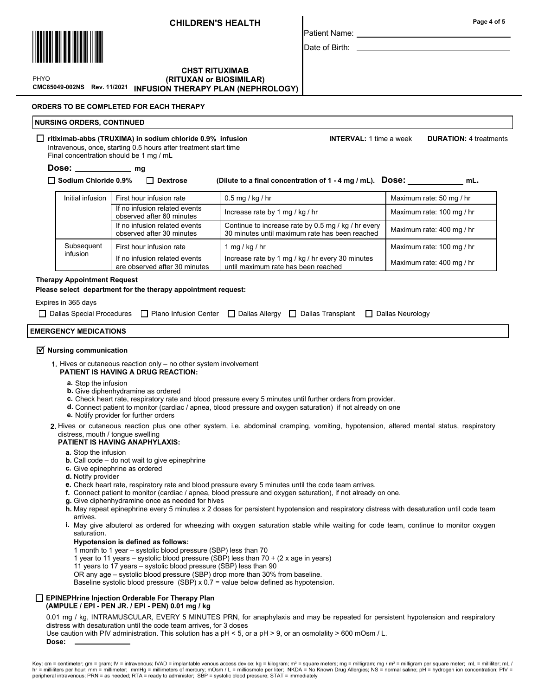

\*PHYO PHYO \*

Patient Name: Date of Birth:

Page 4 of 5

# CMC85049-002NS Rev. 11/2021 INFUSION THERAPY PLAN (NEPHROLOGY)CHST RITUXIMAB (RITUXAN or BIOSIMILAR)

# ORDERS TO BE COMPLETED FOR EACH THERAPY

# NURSING ORDERS, CONTINUED

# □ ritiximab-abbs (TRUXIMA) in sodium chloride 0.9% infusion INTERVAL: 1 time a week DURATION: 4 treatments

Intravenous, once, starting 0.5 hours after treatment start time Final concentration should be 1 mg / mL

# Dose: \_\_\_\_\_\_\_\_\_\_\_\_\_\_\_ mg

 $\Box$  Sodium Chloride 0.9%  $\Box$  Dextrose (Dilute to a final concentration of 1 - 4 mg / mL). DOSe: mL.

| Initial infusion       | First hour infusion rate                                       | $0.5$ mg / kg / hr                                                                                    | Maximum rate: 50 mg / hr  |
|------------------------|----------------------------------------------------------------|-------------------------------------------------------------------------------------------------------|---------------------------|
|                        | If no infusion related events<br>observed after 60 minutes     | Increase rate by 1 mg / kg / hr                                                                       | Maximum rate: 100 mg / hr |
|                        | If no infusion related events<br>observed after 30 minutes     | Continue to increase rate by 0.5 mg / kg / hr every<br>30 minutes until maximum rate has been reached | Maximum rate: 400 mg / hr |
| Subsequent<br>infusion | First hour infusion rate                                       | 1 mg / kg / hr                                                                                        | Maximum rate: 100 mg / hr |
|                        | If no infusion related events<br>are observed after 30 minutes | Increase rate by 1 mg / kg / hr every 30 minutes<br>until maximum rate has been reached               | Maximum rate: 400 mg / hr |

# Therapy Appointment Request

Please select department for the therapy appointment request:

# Expires in 365 days

□ Dallas Special Procedures □ Plano Infusion Center □ Dallas Allergy □ Dallas Transplant □ Dallas Neurology

# EMERGENCY MEDICATIONS

# $\overline{\mathbf{y}}$  Nursing communication

- 1. Hives or cutaneous reaction only no other system involvement PATIENT IS HAVING A DRUG REACTION:
	- a. Stop the infusion
	- **b.** Give diphenhydramine as ordered
	- c. Check heart rate, respiratory rate and blood pressure every 5 minutes until further orders from provider.
	- d. Connect patient to monitor (cardiac / apnea, blood pressure and oxygen saturation) if not already on one
	- e. Notify provider for further orders
- 2. Hives or cutaneous reaction plus one other system, i.e. abdominal cramping, vomiting, hypotension, altered mental status, respiratory distress, mouth / tongue swelling

# PATIENT IS HAVING ANAPHYLAXIS:

- a. Stop the infusion
- **b.** Call code do not wait to give epinephrine
- c. Give epinephrine as ordered
- d. Notify provider
- e. Check heart rate, respiratory rate and blood pressure every 5 minutes until the code team arrives.
- f. Connect patient to monitor (cardiac / apnea, blood pressure and oxygen saturation), if not already on one.
- g. Give diphenhydramine once as needed for hives
- **h**. May repeat epinephrine every 5 minutes x 2 doses for persistent hypotension and respiratory distress with desaturation until code team arrives.
- **i.** May give albuterol as ordered for wheezing with oxygen saturation stable while waiting for code team, continue to monitor oxygen saturation.

# Hypotension is defined as follows:

1 month to 1 year – systolic blood pressure (SBP) less than 70

- 1 year to 11 years systolic blood pressure (SBP) less than 70 + (2 x age in years)
- 11 years to 17 years systolic blood pressure (SBP) less than 90
- OR any age systolic blood pressure (SBP) drop more than 30% from baseline.

Baseline systolic blood pressure (SBP) x 0.7 = value below defined as hypotension.

#### EPINEPHrine Injection Orderable For Therapy Plan (AMPULE / EPI - PEN JR. / EPI - PEN) 0.01 mg / kg

0.01 mg / kg, INTRAMUSCULAR, EVERY 5 MINUTES PRN, for anaphylaxis and may be repeated for persistent hypotension and respiratory distress with desaturation until the code team arrives, for 3 doses

Use caution with PIV administration. This solution has a pH < 5, or a pH > 9, or an osmolality > 600 mOsm / L.

Dose: